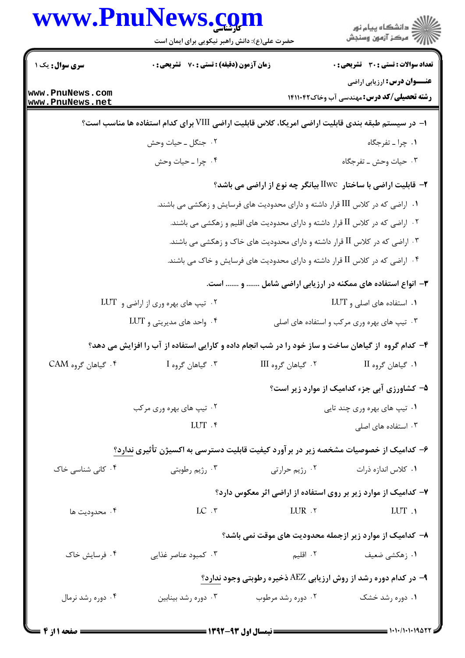|                                    | www.PnuNews.com<br>حضرت علی(ع): دانش راهبر نیکویی برای ایمان است                                   |                                                                                 | ر<br>دانشڪاه پيام نور)<br>ا∛ مرڪز آزمون وسنڊش                                      |
|------------------------------------|----------------------------------------------------------------------------------------------------|---------------------------------------------------------------------------------|------------------------------------------------------------------------------------|
|                                    |                                                                                                    |                                                                                 |                                                                                    |
| سری سوال: یک ۱                     | زمان آزمون (دقیقه) : تستی : 70 گشریحی : 0                                                          |                                                                                 | <b>تعداد سوالات : تستی : 30 ٪ تشریحی : 0</b><br><b>عنـــوان درس:</b> ارزیابی اراضی |
| www.PnuNews.com<br>www.PnuNews.net |                                                                                                    |                                                                                 | <b>رشته تحصیلی/کد درس:</b> مهندسی آب وخاک14114۲                                    |
|                                    | ا– در سیستم طبقه بندی قابلیت اراضی امریکا، کلاس قابلیت اراضی VIII برای کدام استفاده ها مناسب است؟  |                                                                                 |                                                                                    |
|                                    | ۰۲ جنگل ــ حيات وحش                                                                                |                                                                                 | ۰۱ چرا ـ تفرجگاه                                                                   |
|                                    | ۰۴ چرا ـ حيات وحش                                                                                  |                                                                                 | ۰۳ حیات وحش ـ تفرجگاه                                                              |
|                                    |                                                                                                    |                                                                                 | ۲- قابلیت اراضی با ساختار  IIwc بیانگر چه نوع از اراضی می باشد؟                    |
|                                    |                                                                                                    | ۰۱ اراضی که در کلاس III قرار داشته و دارای محدودیت های فرسایش و زهکشی می باشند. |                                                                                    |
|                                    |                                                                                                    | ۰۲ اراضی که در کلاس II قرار داشته و دارای محدودیت های اقلیم و زهکشی می باشند.   |                                                                                    |
|                                    |                                                                                                    | ۰۳ اراضی که در کلاس II قرار داشته و دارای محدودیت های خاک و زهکشی می باشند.     |                                                                                    |
|                                    |                                                                                                    | ۰۴ اراضی که در کلاس II قرار داشته و دارای محدودیت های فرسایش و خاک می باشند.    |                                                                                    |
|                                    |                                                                                                    |                                                                                 | ۳- انواع استفاده های ممکنه در ارزیابی اراضی شامل  و  است.                          |
| ۰۲ تیپ های بهره وری از اراضی و LUT |                                                                                                    | ۰۱ استفاده های اصلی و LUT                                                       |                                                                                    |
|                                    | $LUT$ واحد های مدیریتی و $\cdot$ ۴                                                                 |                                                                                 | ۰۳ تیپ های بهره وری مرکب و استفاده های اصلی                                        |
|                                    | ۴- کدام گروه از گیاهان ساخت و ساز خود را در شب انجام داده و کارایی استفاده از آب را افزایش می دهد؟ |                                                                                 |                                                                                    |
| ۰۴ گیاهان گروه CAM                 | ۰۳ گیاهان گروه I                                                                                   | ۰۲ گیاهان گروه III                                                              | ٠١. گياهان گروه II                                                                 |
|                                    |                                                                                                    |                                                                                 | ۵- کشاورزی آبی جزء کدامیک از موارد زیر است؟                                        |
|                                    | ۰۲ تيپ هاي بهره وري مرکب                                                                           | ۰۱ تیپ های بهره وری چند تایی                                                    |                                                                                    |
|                                    | LUT .۴                                                                                             |                                                                                 | ۰۳ استفاده های اصلی                                                                |
|                                    | ۶– کدامیک از خصوصیات مشخصه زیر در برآورد کیفیت قابلیت دسترسی به اکسیژن تأثیری ندارد؟               |                                                                                 |                                                                                    |
| ۰۴ کانی شناسی خاک                  | ۰۳ رژيم رطوبتي                                                                                     | ٠٢ رژيم حرارتي                                                                  | ۰۱ كلاس اندازه ذرات                                                                |
|                                    |                                                                                                    |                                                                                 | ۷– کدامیک از موارد زیر بر روی استفاده از اراضی اثر معکوس دارد؟                     |
| ۰۴ محدودیت ها                      | $LC \cdot \tau$                                                                                    | LUR .٢                                                                          | LUT .                                                                              |
|                                    |                                                                                                    |                                                                                 | ۸– کدامیک از موارد زیر ازجمله محدودیت های موقت نمی باشد؟                           |
| ۰۴ فرسایش خاک                      | ۰۳ کمبود عناصر غذایی                                                                               | ۰۲ اقلیم                                                                        | ۰۱ زهکشی ضعیف                                                                      |
|                                    |                                                                                                    |                                                                                 | ۹- در کدام دوره رشد از روش ارزیابی AEZ ذخیره رطوبتی وجود ندارد؟                    |
| ۰۴ دوره رشد نرمال                  | ۰۳ دوره رشد بینابین                                                                                | ۰۲ دوره رشد مرطوب                                                               | ۰۱ دوره رشد خشک                                                                    |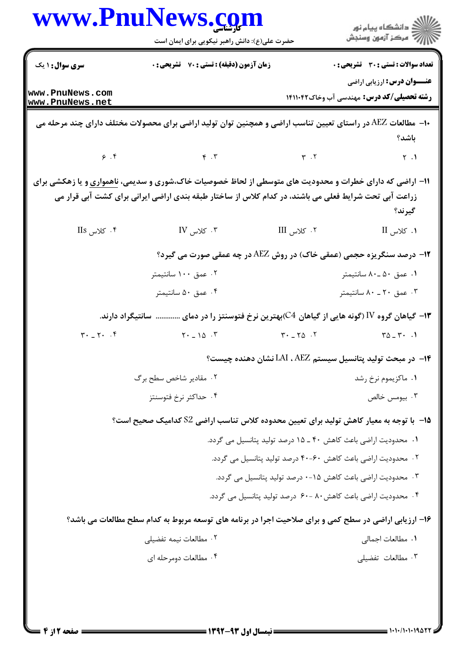|                                                | www.PnuNews.com<br>حضرت علی(ع): دانش راهبر نیکویی برای ایمان است                                                                                                                                                         |                                                                          | ڪ دانشڪاه پيام نور<br>ر∕ = مرڪز آزمون وسنڊش                                              |
|------------------------------------------------|--------------------------------------------------------------------------------------------------------------------------------------------------------------------------------------------------------------------------|--------------------------------------------------------------------------|------------------------------------------------------------------------------------------|
| سری سوال: ۱ یک                                 | زمان آزمون (دقیقه) : تستی : 70 گشریحی : 0                                                                                                                                                                                |                                                                          | <b>تعداد سوالات : تستی : 30 ٪ تشریحی : 0</b>                                             |
| www.PnuNews.com<br>www.PnuNews.net             |                                                                                                                                                                                                                          |                                                                          | <b>عنـــوان درس:</b> ارزیابی اراضی<br><b>رشته تحصیلی/کد درس: م</b> هندسی آب وخاک14110 14 |
|                                                | +ا–  مطالعات AEZ در راستای تعیین تناسب اراضی و همچنین توان تولید اراضی برای محصولات مختلف دارای چند مرحله می                                                                                                             |                                                                          | باشد؟                                                                                    |
|                                                | $\zeta$ . $\zeta$                                                                                                                                                                                                        | $\mathbf{r}$ . $\mathbf{r}$                                              | $\uparrow$ .1                                                                            |
|                                                | ۱۱- اراضی که دارای خطرات و محدودیت های متوسطی از لحاظ خصوصیات خاک،شوری و سدیمی، <u>ناهمواری</u> و یا زهکشی برای<br>زراعت آبی تحت شرایط فعلی می باشند، در کدام کلاس از ساختار طبقه بندی اراضی ایرانی برای کشت آبی قرار می |                                                                          | گيرند؟                                                                                   |
| $\text{IIs}$ کلاس $\cdot$                      | $IV$ کلاس $\cdot$ ۳                                                                                                                                                                                                      | ۰۲ کلاس III                                                              | 1. كلاس II                                                                               |
|                                                | <b>۱۲- درصد سنگریزه حجمی (عمقی خاک) در روش AEZ در چه عمقی صورت می گیرد؟</b>                                                                                                                                              |                                                                          |                                                                                          |
|                                                | ۰۲ عمق ۱۰۰ سانتیمتر                                                                                                                                                                                                      |                                                                          | ۰۱ عمق ۵۰ ـ ۸۰ سانتيمتر                                                                  |
|                                                | ۰۴ عمق ۵۰ سانتيمتر                                                                                                                                                                                                       |                                                                          | ۰۳ عمق ۲۰ ـ ۸۰ سانتيمتر                                                                  |
|                                                | سانتیگراد دارند.                                                                                                                                                                                                         | ۱۳− گیاهان گروه IV (گونه هایی از گیاهان 4))بهترین نرخ فتوسنتز را در دمای |                                                                                          |
| $\mathbf{r} \cdot \mathbf{r} \cdot \mathbf{r}$ | $Y - 10 \cdot Y$                                                                                                                                                                                                         | $T^*$ - $T^0$ - $T^0$                                                    | $\Gamma \Delta = \Gamma \cdot \quad .1$                                                  |
|                                                |                                                                                                                                                                                                                          | ۱۴− در مبحث تولید پتانسیل سیستم LAI ، AEZ نشان دهنده چیست؟               |                                                                                          |
|                                                | ۰۲ مقادیر شاخص سطح برگ                                                                                                                                                                                                   |                                                                          | ۰۱ ماکزیموم نرخ رشد                                                                      |
|                                                | ۰۴ حداکثر نرخ فتوسنتز                                                                                                                                                                                                    |                                                                          | ۰۳ بیومس خالص                                                                            |
|                                                | ۱۵−  با توجه به معیار کاهش تولید برای تعیین محدوده کلاس تناسب اراضی S2 کدامیک صحیح است؟                                                                                                                                  |                                                                          |                                                                                          |
|                                                |                                                                                                                                                                                                                          | ۰۱ محدودیت اراضی باعث کاهش ۴۰ ـ ۱۵ درصد تولید پتانسیل می گردد.           |                                                                                          |
|                                                |                                                                                                                                                                                                                          | ۰۲ محدودیت اراضی باعث کاهش ۶۰–۴۰ درصد تولید پتانسیل می گردد.             |                                                                                          |
|                                                |                                                                                                                                                                                                                          | ۰۳ محدودیت اراضی باعث کاهش ۱۵-۰ درصد تولید پتانسیل می گردد.              |                                                                                          |
|                                                |                                                                                                                                                                                                                          | ۰۴ محدودیت اراضی باعث کاهش۸۰ -۶۰ درصد تولید پتانسیل می گردد.             |                                                                                          |
|                                                | ۱۶- ارزیابی اراضی در سطح کمی و برای صلاحیت اجرا در برنامه های توسعه مربوط به کدام سطح مطالعات می باشد؟                                                                                                                   |                                                                          |                                                                                          |
|                                                | ۰۲ مطالعات نیمه تفضیلی                                                                                                                                                                                                   |                                                                          | ٠١. مطالعات اجمالي                                                                       |
|                                                | ۰۴ مطالعات دومرحله ای                                                                                                                                                                                                    |                                                                          | ۰۳ مطالعات تفضیلی                                                                        |
|                                                |                                                                                                                                                                                                                          |                                                                          |                                                                                          |

 $\blacksquare$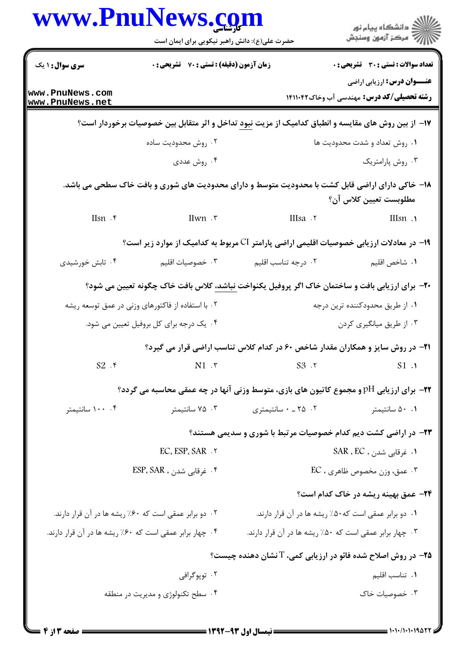|                                         | www.PnuNews.com                                         |                                                                                                                |                                                                                         |  |
|-----------------------------------------|---------------------------------------------------------|----------------------------------------------------------------------------------------------------------------|-----------------------------------------------------------------------------------------|--|
|                                         | حضرت علی(ع): دانش راهبر نیکویی برای ایمان است           |                                                                                                                | ر<br>دانشڪاه پيام نور)<br>اڳ مرڪز آزمون وسنڊش                                           |  |
| <b>سری سوال :</b> ۱ یک                  | زمان آزمون (دقیقه) : تستی : 70 ٪ تشریحی : 0             |                                                                                                                | <b>تعداد سوالات : تستی : 30 - تشریحی : 0</b>                                            |  |
| www.PnuNews.com<br>www.PnuNews.net      |                                                         |                                                                                                                | <b>عنـــوان درس:</b> ارزیابی اراضی<br><b>رشته تحصیلی/کد درس: م</b> هندسی آب وخاک1411.42 |  |
|                                         |                                                         | ۱۷– از بین روش های مقایسه و انطباق کدامیک از مزیت <u>نبود</u> تداخل و اثر متقابل بین خصوصیات برخوردار است؟     |                                                                                         |  |
|                                         | ۰۲ روش محدودیت ساده                                     |                                                                                                                | ٠١ روش تعداد و شدت محدوديت ها                                                           |  |
|                                         | ۰۴ روش عددی                                             |                                                                                                                | ۰۳ روش پارامتریک                                                                        |  |
|                                         |                                                         | ۱۸– خاکی دارای اراضی قابل کشت با محدودیت متوسط و دارای محدودیت های شوری و بافت خاک سطحی می باشد.               | مطلوبست تعيين كلاس آن؟                                                                  |  |
| $Ilsn$ . $\mathfrak{e}$                 | IIwn .                                                  | IIIsa . ٢                                                                                                      | IIIsn .                                                                                 |  |
|                                         |                                                         | ۱۹– در معادلات ارزیابی خصوصیات اقلیمی اراضی پارامتر CI مربوط به کدامیک از موارد زیر است؟                       |                                                                                         |  |
| ۰۴ تابش خورشیدی                         | ۰۳ خصوصیات اقلیم                                        | ۰۲ درجه تناسب اقلیم                                                                                            | ٠١. شاخص اقليم                                                                          |  |
|                                         |                                                         | <b>۲۰</b> - برای ارزیابی بافت و ساختمان خاک اگر پروفیل یکنواخت <u>نباشد،</u> کلاس بافت خاک چگونه تعیین می شود؟ |                                                                                         |  |
|                                         | ۰۲ با استفاده از فاکتورهای وزنی در عمق توسعه ریشه       |                                                                                                                | ۰۱ از طریق محدودکننده ترین درجه                                                         |  |
| ۰۴ یک درجه برای کل بروفیل تعیین می شود. |                                                         |                                                                                                                | ۰۳ از طریق میانگیری کردن                                                                |  |
|                                         |                                                         | <b>۲۱</b> - در روش سایز و همکاران مقدار شاخص ۶۰ در کدام کلاس تناسب اراضی قرار می گیرد؟                         |                                                                                         |  |
| $S2$ . ۴                                | $N1 \cdot r$                                            | S3.7                                                                                                           | S1.1                                                                                    |  |
|                                         |                                                         | <b>۲۲</b> - برای ارزیابی pH و مجموع کاتیون های بازی، متوسط وزنی آنها در چه عمقی محاسبه می گردد؟                |                                                                                         |  |
| ۰۰ ۱۰۰ سانتیمتر                         | ۰۳ سانتیمتر                                             | ۰ ـ ۲۵ ـ ۰ سانتیمتری                                                                                           | ۰.۱ سانتيمتر                                                                            |  |
|                                         |                                                         | ۲۳- در اراضی کشت دیم کدام خصوصیات مرتبط با شوری و سدیمی هستند؟                                                 |                                                                                         |  |
| EC. ESP. SAR . ٢                        |                                                         |                                                                                                                | ۰۱ غرقابی شدن ، SAR ، EC                                                                |  |
| ۰۴ غرقابی شدن ، ESP، SAR                |                                                         |                                                                                                                | ۰۳ عمق، وزن مخصوص ظاهري ، EC                                                            |  |
|                                         |                                                         |                                                                                                                | <b>۲۴</b> - عمق بهینه ریشه در خاک کدام است؟                                             |  |
|                                         | ۰۲ دو برابر عمقی است که ۶۰٪ ریشه ها در آن قرار دارند.   |                                                                                                                | ۰۱ دو برابر عمقی است که ۵۰٪ ریشه ها در آن قرار دارند.                                   |  |
|                                         | ۰۴ چهار برابر عمقی است که ۶۰٪ ریشه ها در آن قرار دارند. | ۰۳ چهار برابر عمقی است که ۵۰٪ ریشه ها در آن قرار دارند.                                                        |                                                                                         |  |
|                                         |                                                         | <b>۲۵</b> - در روش اصلاح شده فائو در ارزیابی کمی، T نشان دهنده چیست؟                                           |                                                                                         |  |
|                                         | ۰۲ توپوگرافي                                            |                                                                                                                | ۰۱ تناسب اقلیم                                                                          |  |
|                                         | ۰۴ سطح تکنولوژی و مدیریت در منطقه                       |                                                                                                                | ۰۳ خصوصیات خاک                                                                          |  |
|                                         |                                                         |                                                                                                                |                                                                                         |  |